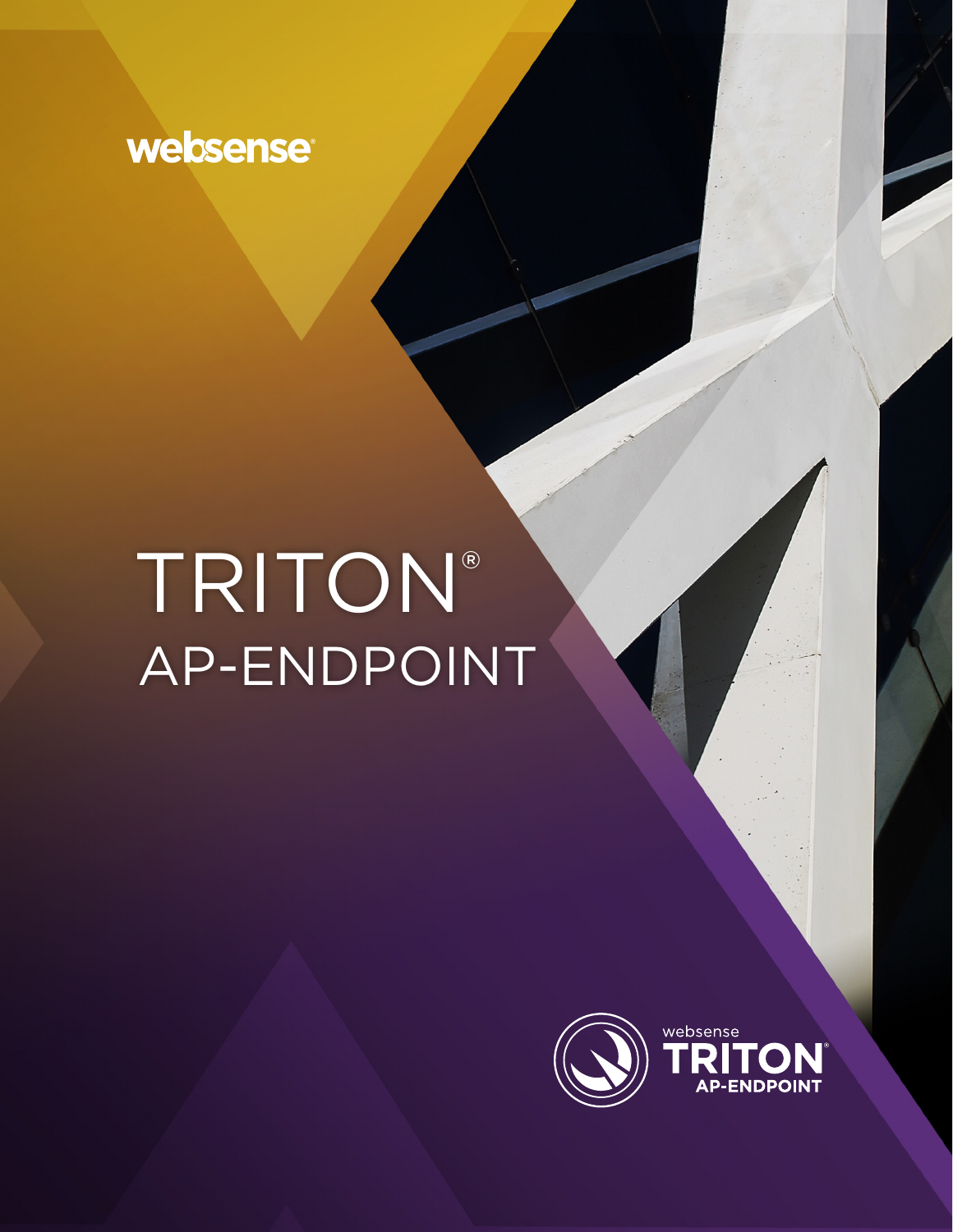

# TRITON® AP-ENDPOINT

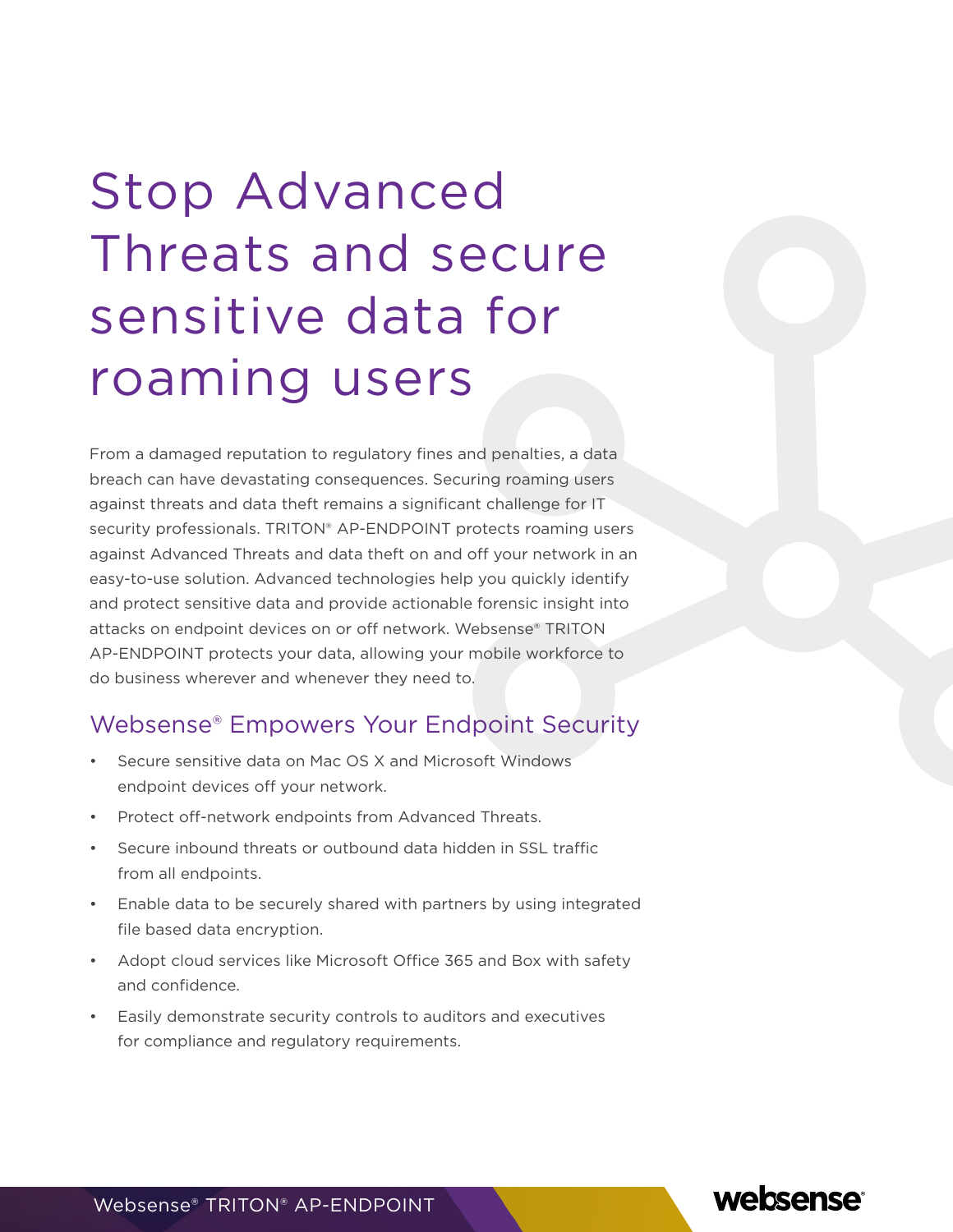## Stop Advanced Threats and secure sensitive data for roaming users

From a damaged reputation to regulatory fines and penalties, a data breach can have devastating consequences. Securing roaming users against threats and data theft remains a significant challenge for IT security professionals. TRITON® AP-ENDPOINT protects roaming users against Advanced Threats and data theft on and off your network in an easy-to-use solution. Advanced technologies help you quickly identify and protect sensitive data and provide actionable forensic insight into attacks on endpoint devices on or off network. Websense® TRITON AP-ENDPOINT protects your data, allowing your mobile workforce to do business wherever and whenever they need to.

#### Websense® Empowers Your Endpoint Security

- Secure sensitive data on Mac OS X and Microsoft Windows endpoint devices off your network.
- Protect off-network endpoints from Advanced Threats.
- Secure inbound threats or outbound data hidden in SSL traffic from all endpoints.
- Enable data to be securely shared with partners by using integrated file based data encryption.
- Adopt cloud services like Microsoft Office 365 and Box with safety and confidence.
- Easily demonstrate security controls to auditors and executives for compliance and regulatory requirements.

websense

Websense® TRITON® AP-ENDPOINT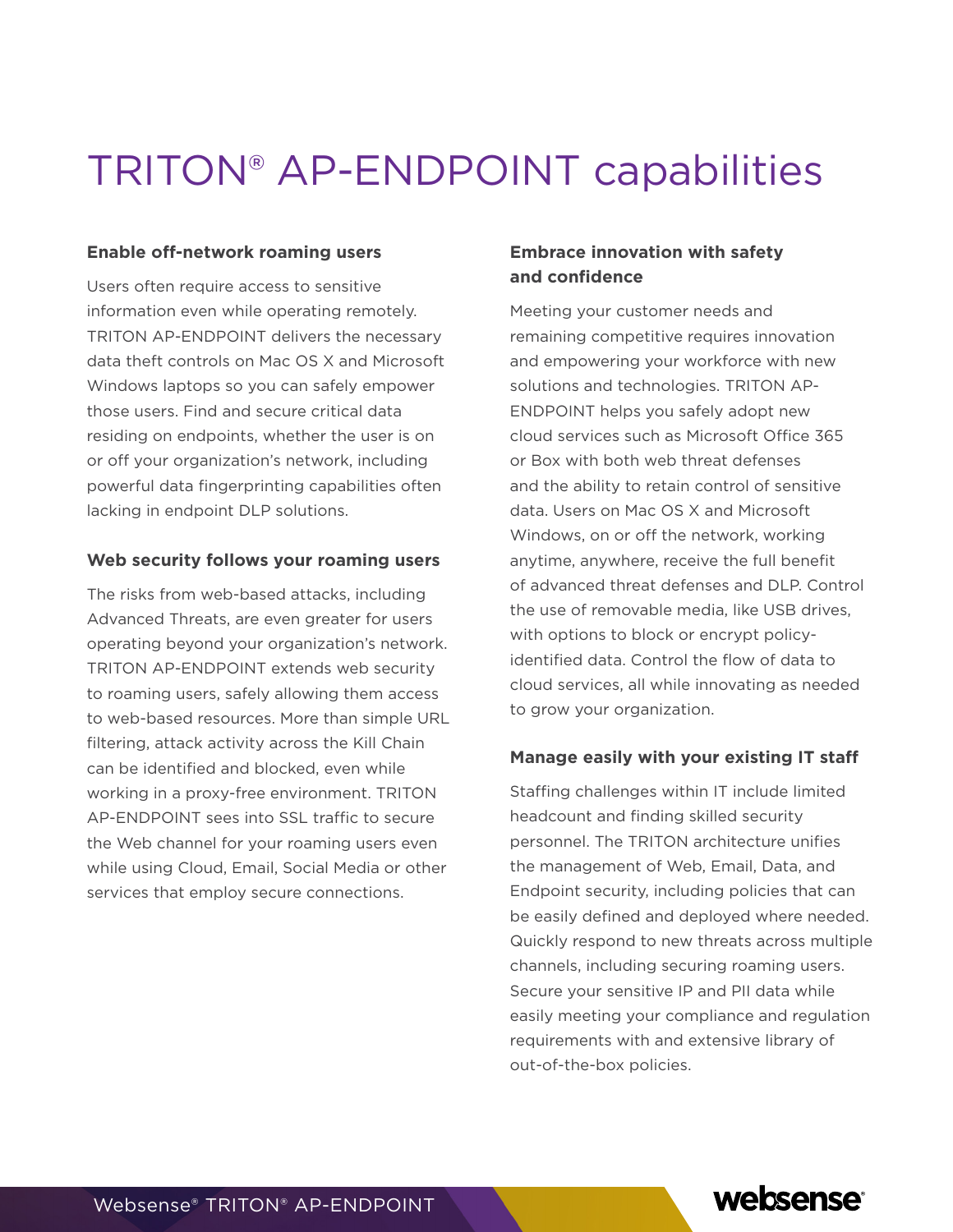## TRITON® AP-ENDPOINT capabilities

#### **Enable off-network roaming users**

Users often require access to sensitive information even while operating remotely. TRITON AP-ENDPOINT delivers the necessary data theft controls on Mac OS X and Microsoft Windows laptops so you can safely empower those users. Find and secure critical data residing on endpoints, whether the user is on or off your organization's network, including powerful data fingerprinting capabilities often lacking in endpoint DLP solutions.

#### **Web security follows your roaming users**

The risks from web-based attacks, including Advanced Threats, are even greater for users operating beyond your organization's network. TRITON AP-ENDPOINT extends web security to roaming users, safely allowing them access to web-based resources. More than simple URL filtering, attack activity across the Kill Chain can be identified and blocked, even while working in a proxy-free environment. TRITON AP-ENDPOINT sees into SSL traffic to secure the Web channel for your roaming users even while using Cloud, Email, Social Media or other services that employ secure connections.

#### **Embrace innovation with safety and confidence**

Meeting your customer needs and remaining competitive requires innovation and empowering your workforce with new solutions and technologies. TRITON AP-ENDPOINT helps you safely adopt new cloud services such as Microsoft Office 365 or Box with both web threat defenses and the ability to retain control of sensitive data. Users on Mac OS X and Microsoft Windows, on or off the network, working anytime, anywhere, receive the full benefit of advanced threat defenses and DLP. Control the use of removable media, like USB drives, with options to block or encrypt policyidentified data. Control the flow of data to cloud services, all while innovating as needed to grow your organization.

#### **Manage easily with your existing IT staff**

Staffing challenges within IT include limited headcount and finding skilled security personnel. The TRITON architecture unifies the management of Web, Email, Data, and Endpoint security, including policies that can be easily defined and deployed where needed. Quickly respond to new threats across multiple channels, including securing roaming users. Secure your sensitive IP and PII data while easily meeting your compliance and regulation requirements with and extensive library of out-of-the-box policies.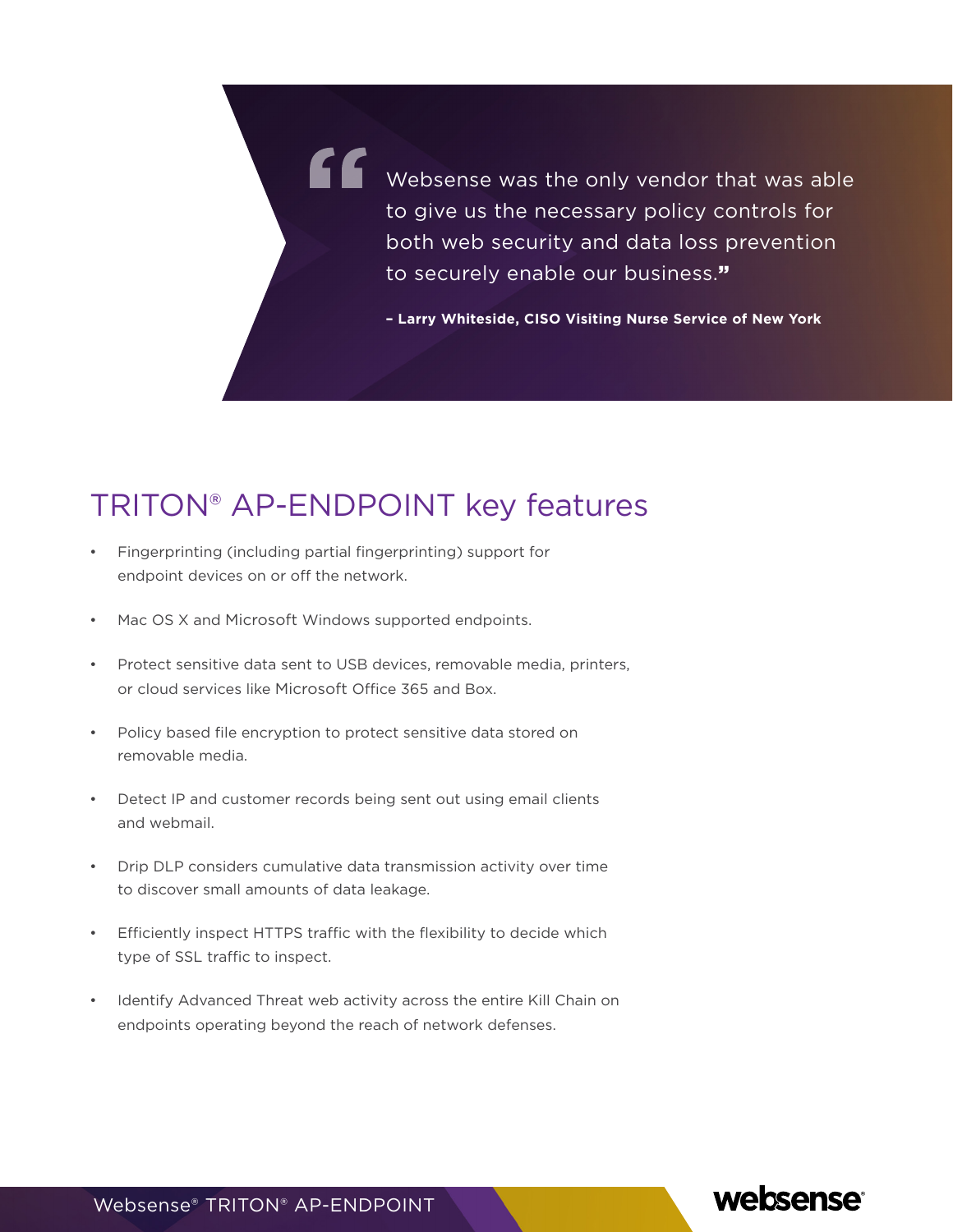Websense was the only vendor that was able to give us the necessary policy controls for both web security and data loss prevention to securely enable our business."

**– Larry Whiteside, CISO Visiting Nurse Service of New York**

### TRITON® AP-ENDPOINT key features

- Fingerprinting (including partial fingerprinting) support for endpoint devices on or off the network.
- Mac OS X and Microsoft Windows supported endpoints.
- Protect sensitive data sent to USB devices, removable media, printers, or cloud services like Microsoft Office 365 and Box.
- Policy based file encryption to protect sensitive data stored on removable media.
- Detect IP and customer records being sent out using email clients and webmail.
- Drip DLP considers cumulative data transmission activity over time to discover small amounts of data leakage.
- Efficiently inspect HTTPS traffic with the flexibility to decide which type of SSL traffic to inspect.
- Identify Advanced Threat web activity across the entire Kill Chain on endpoints operating beyond the reach of network defenses.



Websense® TRITON® AP-ENDPOINT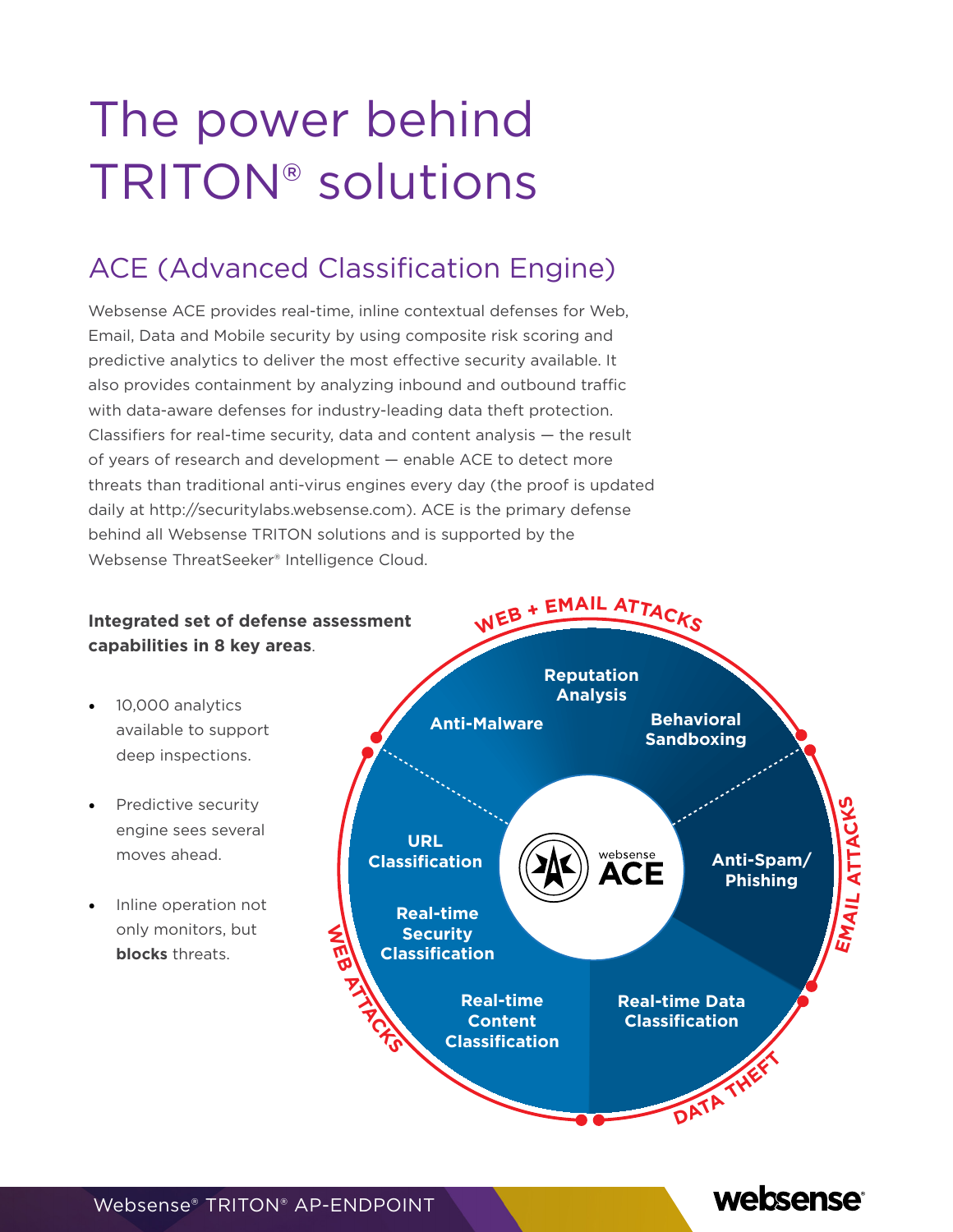## The power behind TRITON® solutions

### ACE (Advanced Classification Engine)

Websense ACE provides real-time, inline contextual defenses for Web, Email, Data and Mobile security by using composite risk scoring and predictive analytics to deliver the most effective security available. It also provides containment by analyzing inbound and outbound traffic with data-aware defenses for industry-leading data theft protection. Classifiers for real-time security, data and content analysis — the result of years of research and development — enable ACE to detect more threats than traditional anti-virus engines every day (the proof is updated daily at http://securitylabs.websense.com). ACE is the primary defense behind all Websense TRITON solutions and is supported by the Websense ThreatSeeker® Intelligence Cloud.



websense

Websense® TRITON® AP-ENDPOINT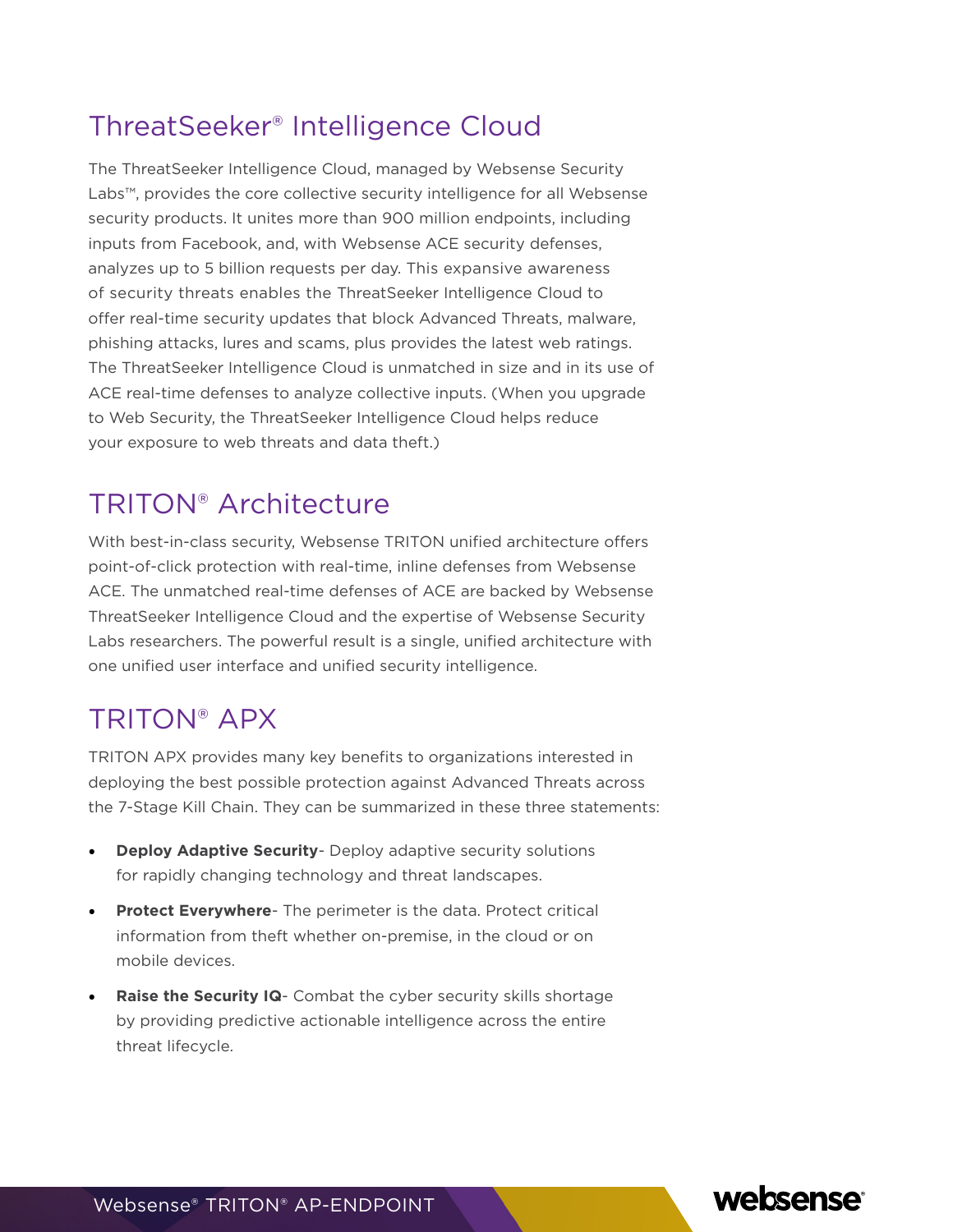#### ThreatSeeker® Intelligence Cloud

The ThreatSeeker Intelligence Cloud, managed by Websense Security Labs™, provides the core collective security intelligence for all Websense security products. It unites more than 900 million endpoints, including inputs from Facebook, and, with Websense ACE security defenses, analyzes up to 5 billion requests per day. This expansive awareness of security threats enables the ThreatSeeker Intelligence Cloud to offer real-time security updates that block Advanced Threats, malware, phishing attacks, lures and scams, plus provides the latest web ratings. The ThreatSeeker Intelligence Cloud is unmatched in size and in its use of ACE real-time defenses to analyze collective inputs. (When you upgrade to Web Security, the ThreatSeeker Intelligence Cloud helps reduce your exposure to web threats and data theft.)

#### TRITON® Architecture

With best-in-class security, Websense TRITON unified architecture offers point-of-click protection with real-time, inline defenses from Websense ACE. The unmatched real-time defenses of ACE are backed by Websense ThreatSeeker Intelligence Cloud and the expertise of Websense Security Labs researchers. The powerful result is a single, unified architecture with one unified user interface and unified security intelligence.

### TRITON® APX

TRITON APX provides many key benefits to organizations interested in deploying the best possible protection against Advanced Threats across the 7-Stage Kill Chain. They can be summarized in these three statements:

- **• Deploy Adaptive Security** Deploy adaptive security solutions for rapidly changing technology and threat landscapes.
- **• Protect Everywhere** The perimeter is the data. Protect critical information from theft whether on-premise, in the cloud or on mobile devices.
- **• Raise the Security IQ** Combat the cyber security skills shortage by providing predictive actionable intelligence across the entire threat lifecycle.